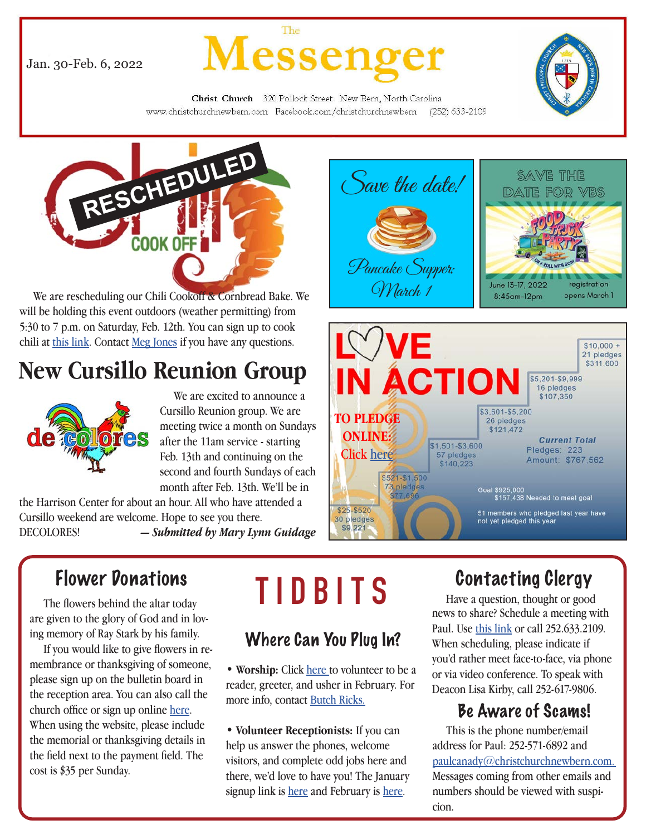Jan. 30-Feb. 6, 2022



Christ Church 320 Pollock Street New Bern, North Carolina www.christchurchnewbern.com Facebook.com/christchurchnewbern  $(252)$  633-2109



 We are rescheduling our Chili Cookoff & Cornbread Bake. We will be holding this event outdoors (weather permitting) from 5:30 to 7 p.m. on Saturday, Feb. 12th. You can sign up to cook chili at this link. Contact Meg Jones if you have any questions.

# **New Cursillo Reunion Group**



 We are excited to announce a Cursillo Reunion group. We are meeting twice a month on Sundays after the 11am service - starting Feb. 13th and continuing on the second and fourth Sundays of each month after Feb. 13th. We'll be in

the Harrison Center for about an hour. All who have attended a Cursillo weekend are welcome. Hope to see you there.

DECOLORES! *— Submitted by Mary Lynn Guidage*





# Flower Donations

 The flowers behind the altar today are given to the glory of God and in loving memory of Ray Stark by his family.

 If you would like to give flowers in remembrance or thanksgiving of someone, please sign up on the bulletin board in the reception area. You can also call the church office or sign up online here. When using the website, please include the memorial or thanksgiving details in the field next to the payment field. The cost is \$35 per Sunday.

# **TIDBITS**

## Where Can You Plug In?

• Worship: Click here to volunteer to be a reader, greeter, and usher in February. For more info, contact Butch Ricks.

• **Volunteer Receptionists:** If you can help us answer the phones, welcome visitors, and complete odd jobs here and there, we'd love to have you! The January signup link is here and February is here.

# Contacting Clergy

 Have a question, thought or good news to share? Schedule a meeting with Paul. Use this link or call 252.633.2109. When scheduling, please indicate if you'd rather meet face-to-face, via phone or via video conference. To speak with Deacon Lisa Kirby, call 252-617-9806.

# Be Aware of Scams!

 This is the phone number/email address for Paul: 252-571-6892 and paulcanady@christchurchnewbern.com. Messages coming from other emails and numbers should be viewed with suspi-

cion.

1